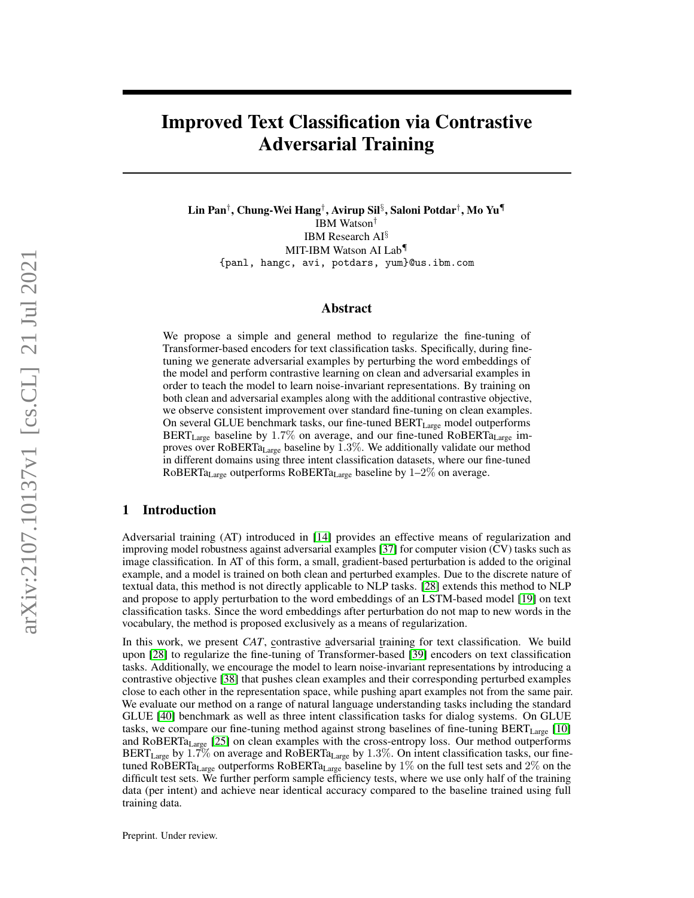# Improved Text Classification via Contrastive Adversarial Training

Lin Pan† , Chung-Wei Hang† , Avirup Sil§ , Saloni Potdar† , Mo Yu¶ IBM Watson† IBM Research AI§ MIT-IBM Watson AI Lab¶ {panl, hangc, avi, potdars, yum}@us.ibm.com

## Abstract

We propose a simple and general method to regularize the fine-tuning of Transformer-based encoders for text classification tasks. Specifically, during finetuning we generate adversarial examples by perturbing the word embeddings of the model and perform contrastive learning on clean and adversarial examples in order to teach the model to learn noise-invariant representations. By training on both clean and adversarial examples along with the additional contrastive objective, we observe consistent improvement over standard fine-tuning on clean examples. On several GLUE benchmark tasks, our fine-tuned  $\text{BERT}_{\text{Large}}$  model outperforms  $BERT_{Large}$  baseline by 1.7% on average, and our fine-tuned RoBERTa<sub>Large</sub> improves over  $RoBERTa_{Large}$  baseline by 1.3%. We additionally validate our method in different domains using three intent classification datasets, where our fine-tuned RoBERTa<sub>Large</sub> outperforms RoBERTa<sub>Large</sub> baseline by  $1-2\%$  on average.

# 1 Introduction

Adversarial training (AT) introduced in [\[14\]](#page-8-0) provides an effective means of regularization and improving model robustness against adversarial examples [\[37\]](#page-10-0) for computer vision (CV) tasks such as image classification. In AT of this form, a small, gradient-based perturbation is added to the original example, and a model is trained on both clean and perturbed examples. Due to the discrete nature of textual data, this method is not directly applicable to NLP tasks. [\[28\]](#page-9-0) extends this method to NLP and propose to apply perturbation to the word embeddings of an LSTM-based model [\[19\]](#page-8-1) on text classification tasks. Since the word embeddings after perturbation do not map to new words in the vocabulary, the method is proposed exclusively as a means of regularization.

In this work, we present *CAT*, contrastive adversarial training for text classification. We build upon [\[28\]](#page-9-0) to regularize the fine-tuning of Transformer-based [\[39\]](#page-10-1) encoders on text classification tasks. Additionally, we encourage the model to learn noise-invariant representations by introducing a contrastive objective [\[38\]](#page-10-2) that pushes clean examples and their corresponding perturbed examples close to each other in the representation space, while pushing apart examples not from the same pair. We evaluate our method on a range of natural language understanding tasks including the standard GLUE [\[40\]](#page-10-3) benchmark as well as three intent classification tasks for dialog systems. On GLUE tasks, we compare our fine-tuning method against strong baselines of fine-tuning  $BERT_{Large}$  [\[10\]](#page-8-2) and  $RoBERTa<sub>Large</sub>$  [\[25\]](#page-9-1) on clean examples with the cross-entropy loss. Our method outperforms BERT<sub>Large</sub> by 1.7% on average and RoBERTa<sub>Large</sub> by 1.3%. On intent classification tasks, our finetuned RoBERTa<sub>Large</sub> outperforms RoBERTa<sub>Large</sub> baseline by 1% on the full test sets and 2% on the difficult test sets. We further perform sample efficiency tests, where we use only half of the training data (per intent) and achieve near identical accuracy compared to the baseline trained using full training data.

Preprint. Under review.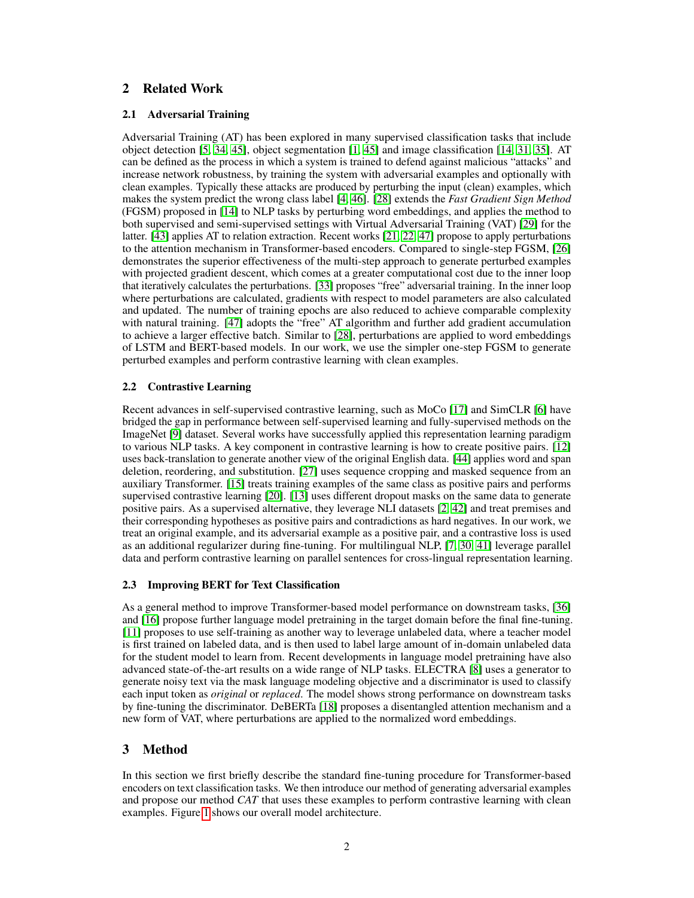# 2 Related Work

## 2.1 Adversarial Training

Adversarial Training (AT) has been explored in many supervised classification tasks that include object detection [\[5,](#page-8-3) [34,](#page-9-2) [45\]](#page-10-4), object segmentation [\[1,](#page-7-0) [45\]](#page-10-4) and image classification [\[14,](#page-8-0) [31,](#page-9-3) [35\]](#page-9-4). AT can be defined as the process in which a system is trained to defend against malicious "attacks" and increase network robustness, by training the system with adversarial examples and optionally with clean examples. Typically these attacks are produced by perturbing the input (clean) examples, which makes the system predict the wrong class label [\[4,](#page-8-4) [46\]](#page-10-5). [\[28\]](#page-9-0) extends the *Fast Gradient Sign Method* (FGSM) proposed in [\[14\]](#page-8-0) to NLP tasks by perturbing word embeddings, and applies the method to both supervised and semi-supervised settings with Virtual Adversarial Training (VAT) [\[29\]](#page-9-5) for the latter. [\[43\]](#page-10-6) applies AT to relation extraction. Recent works [\[21,](#page-9-6) [22,](#page-9-7) [47\]](#page-10-7) propose to apply perturbations to the attention mechanism in Transformer-based encoders. Compared to single-step FGSM, [\[26\]](#page-9-8) demonstrates the superior effectiveness of the multi-step approach to generate perturbed examples with projected gradient descent, which comes at a greater computational cost due to the inner loop that iteratively calculates the perturbations. [\[33\]](#page-9-9) proposes "free" adversarial training. In the inner loop where perturbations are calculated, gradients with respect to model parameters are also calculated and updated. The number of training epochs are also reduced to achieve comparable complexity with natural training. [\[47\]](#page-10-7) adopts the "free" AT algorithm and further add gradient accumulation to achieve a larger effective batch. Similar to [\[28\]](#page-9-0), perturbations are applied to word embeddings of LSTM and BERT-based models. In our work, we use the simpler one-step FGSM to generate perturbed examples and perform contrastive learning with clean examples.

## 2.2 Contrastive Learning

Recent advances in self-supervised contrastive learning, such as MoCo [\[17\]](#page-8-5) and SimCLR [\[6\]](#page-8-6) have bridged the gap in performance between self-supervised learning and fully-supervised methods on the ImageNet [\[9\]](#page-8-7) dataset. Several works have successfully applied this representation learning paradigm to various NLP tasks. A key component in contrastive learning is how to create positive pairs. [\[12\]](#page-8-8) uses back-translation to generate another view of the original English data. [\[44\]](#page-10-8) applies word and span deletion, reordering, and substitution. [\[27\]](#page-9-10) uses sequence cropping and masked sequence from an auxiliary Transformer. [\[15\]](#page-8-9) treats training examples of the same class as positive pairs and performs supervised contrastive learning [\[20\]](#page-9-11). [\[13\]](#page-8-10) uses different dropout masks on the same data to generate positive pairs. As a supervised alternative, they leverage NLI datasets [\[2,](#page-7-1) [42\]](#page-10-9) and treat premises and their corresponding hypotheses as positive pairs and contradictions as hard negatives. In our work, we treat an original example, and its adversarial example as a positive pair, and a contrastive loss is used as an additional regularizer during fine-tuning. For multilingual NLP, [\[7,](#page-8-11) [30,](#page-9-12) [41\]](#page-10-10) leverage parallel data and perform contrastive learning on parallel sentences for cross-lingual representation learning.

## 2.3 Improving BERT for Text Classification

As a general method to improve Transformer-based model performance on downstream tasks, [\[36\]](#page-10-11) and [\[16\]](#page-8-12) propose further language model pretraining in the target domain before the final fine-tuning. [\[11\]](#page-8-13) proposes to use self-training as another way to leverage unlabeled data, where a teacher model is first trained on labeled data, and is then used to label large amount of in-domain unlabeled data for the student model to learn from. Recent developments in language model pretraining have also advanced state-of-the-art results on a wide range of NLP tasks. ELECTRA [\[8\]](#page-8-14) uses a generator to generate noisy text via the mask language modeling objective and a discriminator is used to classify each input token as *original* or *replaced*. The model shows strong performance on downstream tasks by fine-tuning the discriminator. DeBERTa [\[18\]](#page-8-15) proposes a disentangled attention mechanism and a new form of VAT, where perturbations are applied to the normalized word embeddings.

# 3 Method

In this section we first briefly describe the standard fine-tuning procedure for Transformer-based encoders on text classification tasks. We then introduce our method of generating adversarial examples and propose our method *CAT* that uses these examples to perform contrastive learning with clean examples. Figure [1](#page-2-0) shows our overall model architecture.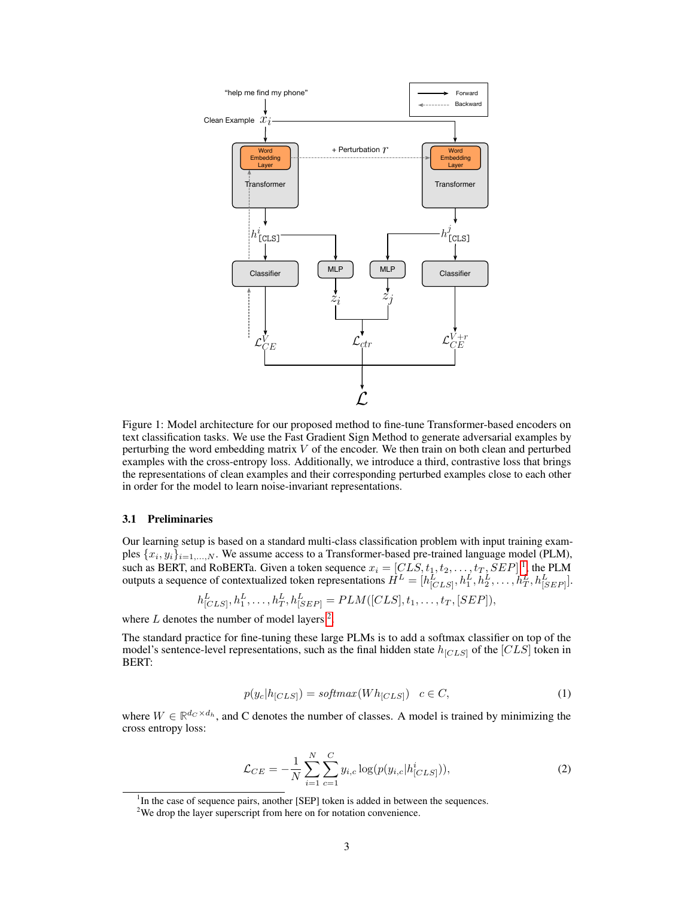

Figure 1: Model architecture for our proposed method to fine-tune Transformer-based encoders on text classification tasks. We use the Fast Gradient Sign Method to generate adversarial examples by perturbing the word embedding matrix  $V$  of the encoder. We then train on both clean and perturbed examples with the cross-entropy loss. Additionally, we introduce a third, contrastive loss that brings the representations of clean examples and their corresponding perturbed examples close to each other in order for the model to learn noise-invariant representations.

#### 3.1 Preliminaries

Our learning setup is based on a standard multi-class classification problem with input training examples  $\{x_i, y_i\}_{i=1,\dots,N}$ . We assume access to a Transformer-based pre-trained language model (PLM), such as BERT, and RoBERTa. Given a token sequence  $x_i = [CLS, t_1, t_2, \ldots, t_T, SEP]$  $x_i = [CLS, t_1, t_2, \ldots, t_T, SEP]$  $x_i = [CLS, t_1, t_2, \ldots, t_T, SEP]$ <sup>1</sup>, the PLM outputs a sequence of contextualized token representations  $H^L = [h_{[CLS]}^L, h_1^L, h_2^L, \dots, h_T^L, h_{[SEP]}^L]$ .

<span id="page-2-0"></span>
$$
h_{[CLS]}^L, h_1^L, \ldots, h_T^L, h_{[SEP]}^L = PLM([CLS], t_1, \ldots, t_T, [SEP]),
$$

where  $L$  denotes the number of model layers  $2$ .

The standard practice for fine-tuning these large PLMs is to add a softmax classifier on top of the model's sentence-level representations, such as the final hidden state  $h_{[CLS]}$  of the  $[CLS]$  token in BERT:

$$
p(y_c|h_{[CLS]}) = softmax(Wh_{[CLS]}) \quad c \in C,
$$
\n(1)

<span id="page-2-3"></span>where  $W \in \mathbb{R}^{d_C \times d_h}$ , and C denotes the number of classes. A model is trained by minimizing the cross entropy loss:

$$
\mathcal{L}_{CE} = -\frac{1}{N} \sum_{i=1}^{N} \sum_{c=1}^{C} y_{i,c} \log(p(y_{i,c} | h_{[CLS]}^i)),
$$
\n(2)

<span id="page-2-1"></span><sup>&</sup>lt;sup>1</sup>In the case of sequence pairs, another [SEP] token is added in between the sequences.

<span id="page-2-2"></span><sup>&</sup>lt;sup>2</sup>We drop the layer superscript from here on for notation convenience.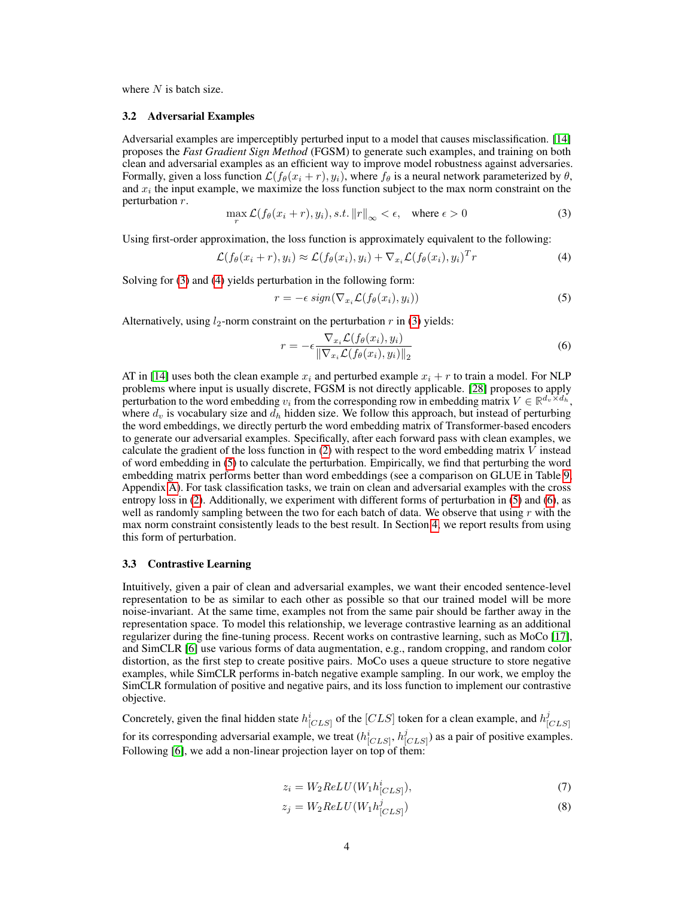where  $N$  is batch size.

#### 3.2 Adversarial Examples

Adversarial examples are imperceptibly perturbed input to a model that causes misclassification. [\[14\]](#page-8-0) proposes the *Fast Gradient Sign Method* (FGSM) to generate such examples, and training on both clean and adversarial examples as an efficient way to improve model robustness against adversaries. Formally, given a loss function  $\mathcal{L}(f_{\theta}(x_i + r), y_i)$ , where  $f_{\theta}$  is a neural network parameterized by  $\theta$ , and  $x_i$  the input example, we maximize the loss function subject to the max norm constraint on the perturbation r.

<span id="page-3-0"></span>
$$
\max_{r} \mathcal{L}(f_{\theta}(x_i+r), y_i), s.t. \|r\|_{\infty} < \epsilon, \quad \text{where } \epsilon > 0 \tag{3}
$$

Using first-order approximation, the loss function is approximately equivalent to the following:

$$
\mathcal{L}(f_{\theta}(x_i+r), y_i) \approx \mathcal{L}(f_{\theta}(x_i), y_i) + \nabla_{x_i} \mathcal{L}(f_{\theta}(x_i), y_i)^T r
$$
\n(4)

Solving for [\(3\)](#page-3-0) and [\(4\)](#page-3-1) yields perturbation in the following form:

<span id="page-3-2"></span><span id="page-3-1"></span>
$$
r = -\epsilon \, sign(\nabla_{x_i} \mathcal{L}(f_\theta(x_i), y_i)) \tag{5}
$$

Alternatively, using  $l_2$ -norm constraint on the perturbation r in [\(3\)](#page-3-0) yields:

<span id="page-3-3"></span>
$$
r = -\epsilon \frac{\nabla_{x_i} \mathcal{L}(f_\theta(x_i), y_i)}{\|\nabla_{x_i} \mathcal{L}(f_\theta(x_i), y_i)\|_2} \tag{6}
$$

AT in [\[14\]](#page-8-0) uses both the clean example  $x_i$  and perturbed example  $x_i + r$  to train a model. For NLP problems where input is usually discrete, FGSM is not directly applicable. [\[28\]](#page-9-0) proposes to apply perturbation to the word embedding  $v_i$  from the corresponding row in embedding matrix  $V \in \mathbb{R}^{d_v \times d_h}$ , where  $d_v$  is vocabulary size and  $d_h$  hidden size. We follow this approach, but instead of perturbing the word embeddings, we directly perturb the word embedding matrix of Transformer-based encoders to generate our adversarial examples. Specifically, after each forward pass with clean examples, we calculate the gradient of the loss function in  $(2)$  with respect to the word embedding matrix V instead of word embedding in [\(5\)](#page-3-2) to calculate the perturbation. Empirically, we find that perturbing the word embedding matrix performs better than word embeddings (see a comparison on GLUE in Table [9,](#page-11-0) Appendix [A\)](#page-11-1). For task classification tasks, we train on clean and adversarial examples with the cross entropy loss in [\(2\)](#page-2-3). Additionally, we experiment with different forms of perturbation in [\(5\)](#page-3-2) and [\(6\)](#page-3-3), as well as randomly sampling between the two for each batch of data. We observe that using  $r$  with the max norm constraint consistently leads to the best result. In Section [4,](#page-4-0) we report results from using this form of perturbation.

#### 3.3 Contrastive Learning

Intuitively, given a pair of clean and adversarial examples, we want their encoded sentence-level representation to be as similar to each other as possible so that our trained model will be more noise-invariant. At the same time, examples not from the same pair should be farther away in the representation space. To model this relationship, we leverage contrastive learning as an additional regularizer during the fine-tuning process. Recent works on contrastive learning, such as MoCo [\[17\]](#page-8-5), and SimCLR [\[6\]](#page-8-6) use various forms of data augmentation, e.g., random cropping, and random color distortion, as the first step to create positive pairs. MoCo uses a queue structure to store negative examples, while SimCLR performs in-batch negative example sampling. In our work, we employ the SimCLR formulation of positive and negative pairs, and its loss function to implement our contrastive objective.

Concretely, given the final hidden state  $h_{[CLS]}^i$  of the  $[CLS]$  token for a clean example, and  $h_{[t]}^j$  $[CLS]$ for its corresponding adversarial example, we treat  $(h_{[CLS]}^i, h_{[t]}^j)$  $_{[CLS]}^{j}$ ) as a pair of positive examples. Following [\[6\]](#page-8-6), we add a non-linear projection layer on top of them:

$$
z_i = W_2 ReLU(W_1 h_{[CLS]}^i),\tag{7}
$$

$$
z_j = W_2 ReLU(W_1 h^j_{[CLS]})
$$
\n(8)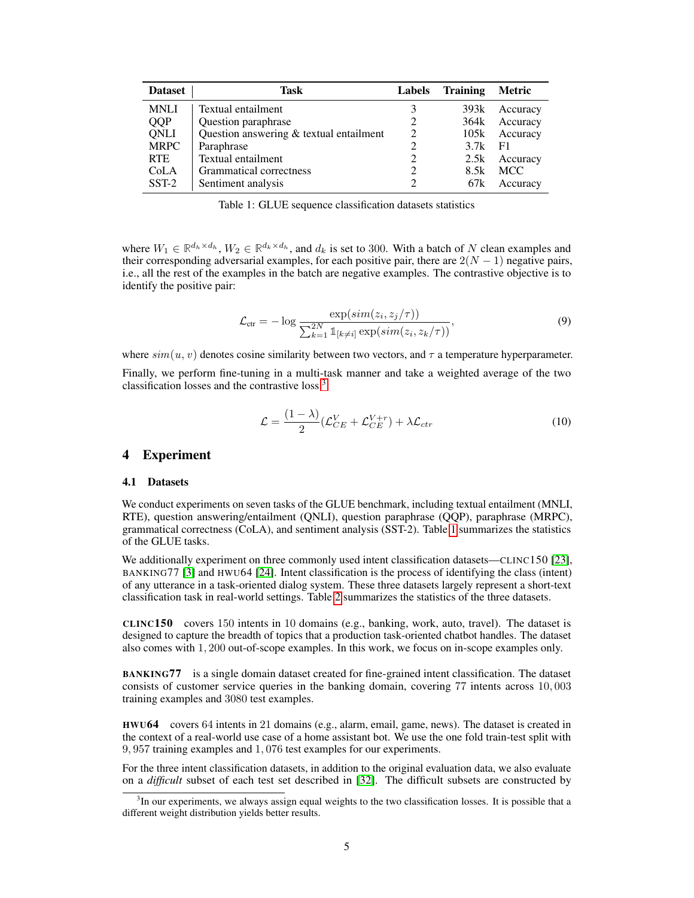| <b>Dataset</b> | Task                                    | Labels                      | <b>Training</b> | <b>Metric</b> |
|----------------|-----------------------------------------|-----------------------------|-----------------|---------------|
| <b>MNLI</b>    | Textual entailment                      |                             | 393k            | Accuracy      |
| QQP            | Question paraphrase                     | 2                           | 364k            | Accuracy      |
| QNLI           | Question answering & textual entailment | 2                           | 105k            | Accuracy      |
| <b>MRPC</b>    | Paraphrase                              | 2                           | 3.7k            | - F1          |
| <b>RTE</b>     | Textual entailment                      | 2                           | 2.5k            | Accuracy      |
| CoLA           | Grammatical correctness                 | 2                           | 8.5k            | <b>MCC</b>    |
| $SST-2$        | Sentiment analysis                      | $\mathcal{D}_{\mathcal{A}}$ | 67k             | Accuracy      |

<span id="page-4-2"></span>Table 1: GLUE sequence classification datasets statistics

where  $W_1 \in \mathbb{R}^{d_h \times d_h}$ ,  $W_2 \in \mathbb{R}^{d_k \times d_h}$ , and  $d_k$  is set to 300. With a batch of N clean examples and their corresponding adversarial examples, for each positive pair, there are  $2(N - 1)$  negative pairs, i.e., all the rest of the examples in the batch are negative examples. The contrastive objective is to identify the positive pair:

$$
\mathcal{L}_{\text{ctr}} = -\log \frac{\exp(\text{sim}(z_i, z_j/\tau))}{\sum_{k=1}^{2N} \mathbb{1}_{[k \neq i]} \exp(\text{sim}(z_i, z_k/\tau))},\tag{9}
$$

where  $sim(u, v)$  denotes cosine similarity between two vectors, and  $\tau$  a temperature hyperparameter. Finally, we perform fine-tuning in a multi-task manner and take a weighted average of the two classification losses and the contrastive loss  $3$ :

$$
\mathcal{L} = \frac{(1 - \lambda)}{2} (\mathcal{L}_{CE}^{V} + \mathcal{L}_{CE}^{V+r}) + \lambda \mathcal{L}_{ctr}
$$
\n(10)

## <span id="page-4-0"></span>4 Experiment

#### 4.1 Datasets

We conduct experiments on seven tasks of the GLUE benchmark, including textual entailment (MNLI, RTE), question answering/entailment (QNLI), question paraphrase (QQP), paraphrase (MRPC), grammatical correctness (CoLA), and sentiment analysis (SST-2). Table [1](#page-4-2) summarizes the statistics of the GLUE tasks.

We additionally experiment on three commonly used intent classification datasets—CLINC150 [\[23\]](#page-9-13), BANKING77 [\[3\]](#page-8-16) and HWU64 [\[24\]](#page-9-14). Intent classification is the process of identifying the class (intent) of any utterance in a task-oriented dialog system. These three datasets largely represent a short-text classification task in real-world settings. Table [2](#page-5-0) summarizes the statistics of the three datasets.

CLINC150 covers 150 intents in 10 domains (e.g., banking, work, auto, travel). The dataset is designed to capture the breadth of topics that a production task-oriented chatbot handles. The dataset also comes with 1, 200 out-of-scope examples. In this work, we focus on in-scope examples only.

BANKING77 is a single domain dataset created for fine-grained intent classification. The dataset consists of customer service queries in the banking domain, covering 77 intents across 10, 003 training examples and 3080 test examples.

HWU64 covers 64 intents in 21 domains (e.g., alarm, email, game, news). The dataset is created in the context of a real-world use case of a home assistant bot. We use the one fold train-test split with 9, 957 training examples and 1, 076 test examples for our experiments.

For the three intent classification datasets, in addition to the original evaluation data, we also evaluate on a *difficult* subset of each test set described in [\[32\]](#page-9-15). The difficult subsets are constructed by

<span id="page-4-1"></span><sup>&</sup>lt;sup>3</sup>In our experiments, we always assign equal weights to the two classification losses. It is possible that a different weight distribution yields better results.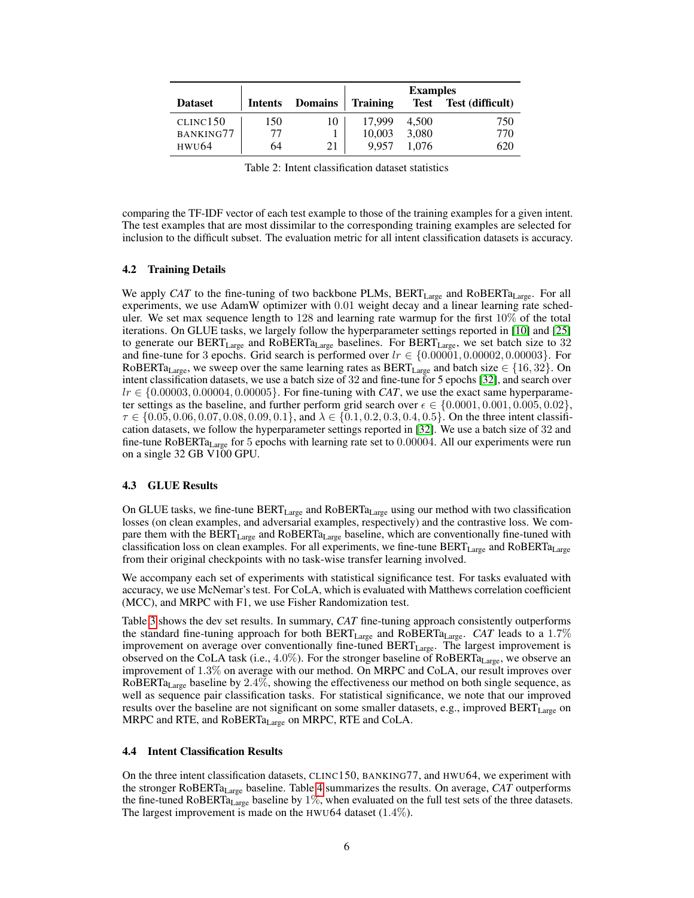|                   |         |                | <b>Examples</b> |             |                  |  |  |
|-------------------|---------|----------------|-----------------|-------------|------------------|--|--|
| <b>Dataset</b>    | Intents | <b>Domains</b> | <b>Training</b> | <b>Test</b> | Test (difficult) |  |  |
| CLINC150          | 150     | 10             | 17.999          | 4.500       | 750              |  |  |
| BANKING77         | 77      |                | 10,003          | 3.080       | 770              |  |  |
| HWU <sub>64</sub> | 64      | 21             | 9.957           | 1.076       | 620              |  |  |

<span id="page-5-0"></span>Table 2: Intent classification dataset statistics

comparing the TF-IDF vector of each test example to those of the training examples for a given intent. The test examples that are most dissimilar to the corresponding training examples are selected for inclusion to the difficult subset. The evaluation metric for all intent classification datasets is accuracy.

#### 4.2 Training Details

We apply *CAT* to the fine-tuning of two backbone PLMs, BERT<sub>Large</sub> and RoBERTa<sub>Large</sub>. For all experiments, we use AdamW optimizer with 0.01 weight decay and a linear learning rate scheduler. We set max sequence length to  $128$  and learning rate warmup for the first  $10\%$  of the total iterations. On GLUE tasks, we largely follow the hyperparameter settings reported in [\[10\]](#page-8-2) and [\[25\]](#page-9-1) to generate our BERT<sub>Large</sub> and RoBERTa<sub>Large</sub> baselines. For BERT<sub>Large</sub>, we set batch size to 32 and fine-tune for 3 epochs. Grid search is performed over  $lr \in \{0.00001, 0.00002, 0.00003\}$ . For RoBERTa<sub>Large</sub>, we sweep over the same learning rates as BERT<sub>Large</sub> and batch size  $\in \{16, 32\}$ . On intent classification datasets, we use a batch size of 32 and fine-tune for 5 epochs [\[32\]](#page-9-15), and search over  $lr \in \{0.00003, 0.00004, 0.00005\}$ . For fine-tuning with *CAT*, we use the exact same hyperparameter settings as the baseline, and further perform grid search over  $\epsilon \in \{0.0001, 0.001, 0.005, 0.02\}$ ,  $\tau \in \{0.05, 0.06, 0.07, 0.08, 0.09, 0.1\}$ , and  $\lambda \in \{0.1, 0.2, 0.3, 0.4, 0.5\}$ . On the three intent classification datasets, we follow the hyperparameter settings reported in [\[32\]](#page-9-15). We use a batch size of 32 and fine-tune RoBERTa<sub>Large</sub> for 5 epochs with learning rate set to  $0.00004$ . All our experiments were run on a single 32 GB V100 GPU.

## 4.3 GLUE Results

On GLUE tasks, we fine-tune  $BERT_{Large}$  and  $RoBERT_{\text{a}_\text{Large}}$  using our method with two classification losses (on clean examples, and adversarial examples, respectively) and the contrastive loss. We compare them with the BERT $_{\text{Large}}$  and RoBERT $a_{\text{Large}}$  baseline, which are conventionally fine-tuned with classification loss on clean examples. For all experiments, we fine-tune  $BERT_{Large}$  and  $RoBERT_{Large}$ from their original checkpoints with no task-wise transfer learning involved.

We accompany each set of experiments with statistical significance test. For tasks evaluated with accuracy, we use McNemar's test. For CoLA, which is evaluated with Matthews correlation coefficient (MCC), and MRPC with F1, we use Fisher Randomization test.

Table [3](#page-6-0) shows the dev set results. In summary, *CAT* fine-tuning approach consistently outperforms the standard fine-tuning approach for both  $BERT_{Large}$  and  $RoBERT_{Large}$ . *CAT* leads to a 1.7% improvement on average over conventionally fine-tuned  $BERT_{Large}$ . The largest improvement is observed on the CoLA task (i.e.,  $4.0\%$ ). For the stronger baseline of RoBERTa<sub>Large</sub>, we observe an improvement of 1.3% on average with our method. On MRPC and CoLA, our result improves over RoBERTa<sub>Large</sub> baseline by  $2.4\%$ , showing the effectiveness our method on both single sequence, as well as sequence pair classification tasks. For statistical significance, we note that our improved results over the baseline are not significant on some smaller datasets, e.g., improved  $BERT_{\text{Large}}$  on MRPC and RTE, and RoBERTa<sub>Large</sub> on MRPC, RTE and CoLA.

#### 4.4 Intent Classification Results

On the three intent classification datasets, CLINC150, BANKING77, and HWU64, we experiment with the stronger RoBERTaLarge baseline. Table [4](#page-6-1) summarizes the results. On average, *CAT* outperforms the fine-tuned RoBERTa<sub>Large</sub> baseline by 1%, when evaluated on the full test sets of the three datasets. The largest improvement is made on the HWU64 dataset  $(1.4\%)$ .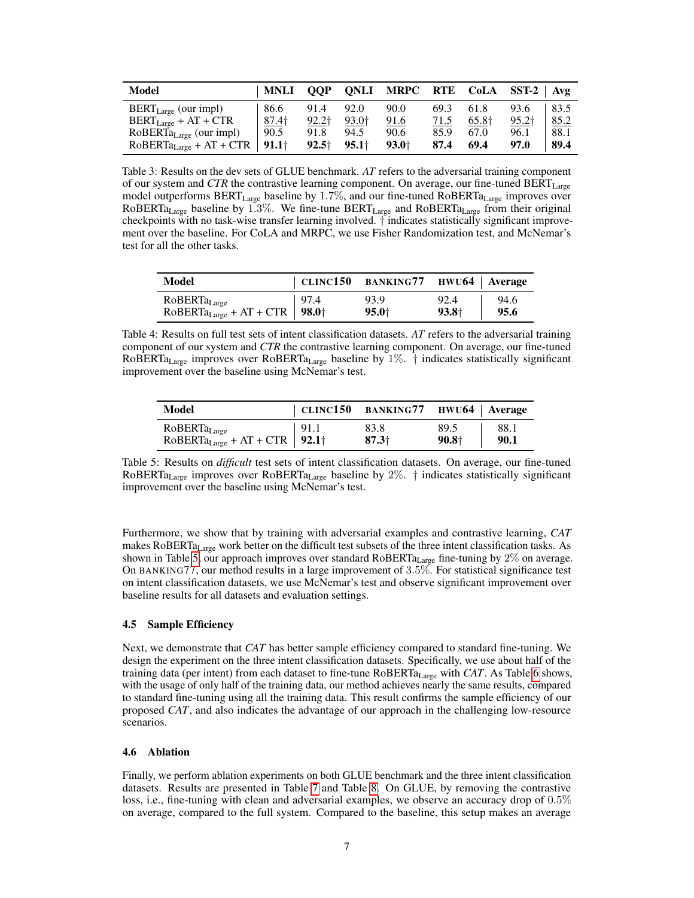| Model                        | <b>MNLI</b>         | <b>OOP</b>          | ONLI              | MRPC RTE CoLA SST-2   Avg |      |       |                     |      |
|------------------------------|---------------------|---------------------|-------------------|---------------------------|------|-------|---------------------|------|
| $BERT_{Large}$ (our impl)    | 86.6                | 91.4                | 92.0              | 90.0                      | 69.3 | 61.8  | 93.6                | 83.5 |
| $BERT_{Large} + AT + CTR$    | $87.4$ <sup>†</sup> | $92.2$ <sup>†</sup> | 93.0 <sup>+</sup> | 91.6                      | 71.5 | 65.8† | $95.2$ <sup>†</sup> | 85.2 |
| $RoBERTa_{Large}$ (our impl) | 90.5                | 91.8                | 94.5              | 90.6                      | 85.9 | 67.0  | 96.1                | 88.1 |
| $ROBERTa_{Large} + AT + CTR$ | $91.1+$             | $92.5+$             | $95.1+$           | $93.0^{+}$                | 87.4 | 69.4  | 97.0                | 89.4 |

<span id="page-6-0"></span>Table 3: Results on the dev sets of GLUE benchmark. *AT* refers to the adversarial training component of our system and *CTR* the contrastive learning component. On average, our fine-tuned BERT<sub>Large</sub> model outperforms  $BERT_{Large}$  baseline by 1.7%, and our fine-tuned  $RoBERTa_{Large}$  improves over RoBERTa<sub>Large</sub> baseline by 1.3%. We fine-tune BERT<sub>Large</sub> and RoBERTa<sub>Large</sub> from their original checkpoints with no task-wise transfer learning involved. † indicates statistically significant improve-ment over the baseline. For CoLA and MRPC, we use Fisher Randomization test, and McNemar's test for all the other tasks.

<span id="page-6-1"></span>

| Model                                |      | $\vert$ CLINC150 BANKING77 HWU64 $\vert$ Average |                   |      |
|--------------------------------------|------|--------------------------------------------------|-------------------|------|
| RoBERTa <sub>Large</sub>             | 97.4 | 93.9                                             | 92.4              | 94.6 |
| $RoBERTa_{Large} + AT + CTR$   98.0† |      | $95.0^+$                                         | 93.8 <sub>†</sub> | 95.6 |

Table 4: Results on full test sets of intent classification datasets. *AT* refers to the adversarial training component of our system and *CTR* the contrastive learning component. On average, our fine-tuned RoBERTa<sub>Large</sub> improves over RoBERTa<sub>Large</sub> baseline by 1%.  $\dagger$  indicates statistically significant improvement over the baseline using McNemar's test.

<span id="page-6-2"></span>

| Model                                         |      | $\vert$ CLINC150 BANKING77 HWU64 $\vert$ Average |         |      |
|-----------------------------------------------|------|--------------------------------------------------|---------|------|
| RoBERTa <sub>Large</sub>                      | 91.1 | 83.8                                             | 89.5    | 88.1 |
| $RoBERTa_{Large} + AT + CTR$   92.1 $\dagger$ |      | $87.3\dagger$                                    | $90.8+$ | 90.1 |

Table 5: Results on *difficult* test sets of intent classification datasets. On average, our fine-tuned RoBERTa<sub>Large</sub> improves over RoBERTa<sub>Large</sub> baseline by 2%.  $\dagger$  indicates statistically significant improvement over the baseline using McNemar's test.

Furthermore, we show that by training with adversarial examples and contrastive learning, *CAT* makes RoBERTa<sub>Large</sub> work better on the difficult test subsets of the three intent classification tasks. As shown in Table [5,](#page-6-2) our approach improves over standard RoBERTa<sub>Large</sub> fine-tuning by  $2\%$  on average. On BANKING77, our method results in a large improvement of 3.5%. For statistical significance test on intent classification datasets, we use McNemar's test and observe significant improvement over baseline results for all datasets and evaluation settings.

#### 4.5 Sample Efficiency

Next, we demonstrate that *CAT* has better sample efficiency compared to standard fine-tuning. We design the experiment on the three intent classification datasets. Specifically, we use about half of the training data (per intent) from each dataset to fine-tune RoBERTa<sub>Large</sub> with *CAT*. As Table [6](#page-7-2) shows, with the usage of only half of the training data, our method achieves nearly the same results, compared to standard fine-tuning using all the training data. This result confirms the sample efficiency of our proposed *CAT*, and also indicates the advantage of our approach in the challenging low-resource scenarios.

#### 4.6 Ablation

Finally, we perform ablation experiments on both GLUE benchmark and the three intent classification datasets. Results are presented in Table [7](#page-7-3) and Table [8.](#page-7-4) On GLUE, by removing the contrastive loss, i.e., fine-tuning with clean and adversarial examples, we observe an accuracy drop of 0.5% on average, compared to the full system. Compared to the baseline, this setup makes an average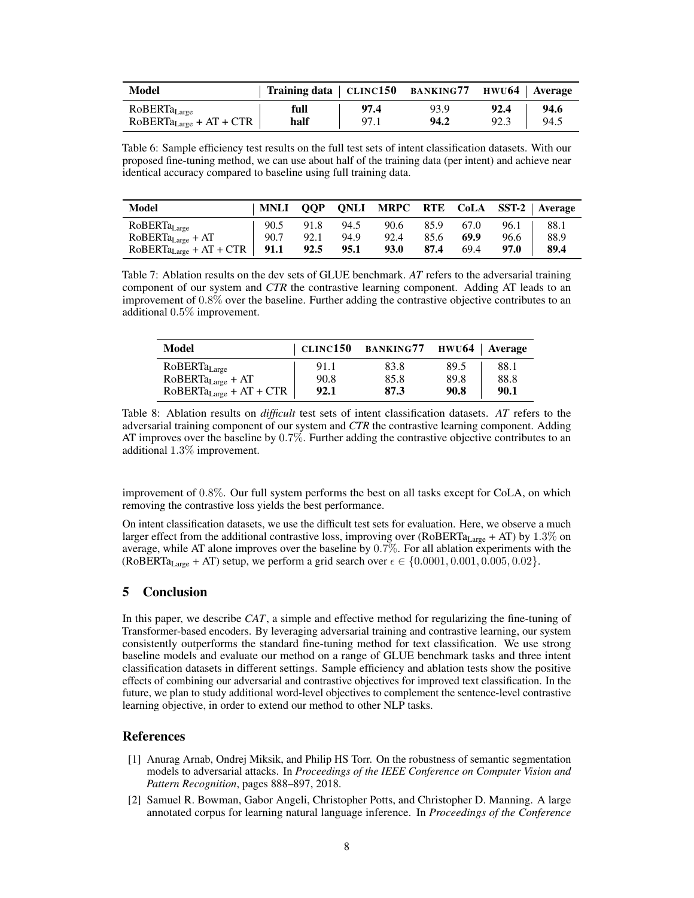| Model                        |      |      |      | Training data $\vert$ CLINC150 BANKING77 HWU64 $\vert$ Average |
|------------------------------|------|------|------|----------------------------------------------------------------|
| $RoBERTa$ <sub>Large</sub>   | full | 97.4 | 93.9 | 92.4<br>94.6                                                   |
| $RoBERTa_{Large} + AT + CTR$ | half | 97.1 | 94.2 | 94.5<br>92.3                                                   |

<span id="page-7-2"></span>Table 6: Sample efficiency test results on the full test sets of intent classification datasets. With our proposed fine-tuning method, we can use about half of the training data (per intent) and achieve near identical accuracy compared to baseline using full training data.

| Model                        | MNLI | <b>OOP</b> |      |      |      |      |      | QNLI MRPC RTE CoLA SST-2   Average |
|------------------------------|------|------------|------|------|------|------|------|------------------------------------|
| $RoBERTa_{Large}$            | 90.5 | 91.8       | 94.5 | 90.6 | 85.9 | 67.0 | 96.1 | 88.1                               |
| $RoBERTa_{Large} + AT$       | 90.7 | 92.1       | 94.9 | 92.4 | 85.6 | 69.9 | 96.6 | 88.9                               |
| $RoBERTa_{Large} + AT + CTR$ | 91.1 | 92.5       | 95.1 | 93.0 | 87.4 | 69.4 | 97.0 | 89.4                               |

Table 7: Ablation results on the dev sets of GLUE benchmark. *AT* refers to the adversarial training component of our system and *CTR* the contrastive learning component. Adding AT leads to an improvement of 0.8% over the baseline. Further adding the contrastive objective contributes to an additional 0.5% improvement.

<span id="page-7-4"></span><span id="page-7-3"></span>

| Model                        |      | $\vert$ CLINC150 BANKING77 HWU64 $\vert$ Average |      |      |
|------------------------------|------|--------------------------------------------------|------|------|
| $RoBERTa_{Large}$            | 91.1 | 83.8                                             | 89.5 | 88.1 |
| $RoBERTa_{Large} + AT$       | 90.8 | 85.8                                             | 89.8 | 88.8 |
| $RoBERTa_{Large} + AT + CTR$ | 92.1 | 87.3                                             | 90.8 | 90.1 |

Table 8: Ablation results on *difficult* test sets of intent classification datasets. *AT* refers to the adversarial training component of our system and *CTR* the contrastive learning component. Adding AT improves over the baseline by 0.7%. Further adding the contrastive objective contributes to an additional 1.3% improvement.

improvement of 0.8%. Our full system performs the best on all tasks except for CoLA, on which removing the contrastive loss yields the best performance.

On intent classification datasets, we use the difficult test sets for evaluation. Here, we observe a much larger effect from the additional contrastive loss, improving over (RoBERTa<sub>Large</sub> + AT) by 1.3% on average, while AT alone improves over the baseline by 0.7%. For all ablation experiments with the (RoBERTa<sub>Large</sub> + AT) setup, we perform a grid search over  $\epsilon \in \{0.0001, 0.001, 0.005, 0.02\}$ .

## 5 Conclusion

In this paper, we describe *CAT*, a simple and effective method for regularizing the fine-tuning of Transformer-based encoders. By leveraging adversarial training and contrastive learning, our system consistently outperforms the standard fine-tuning method for text classification. We use strong baseline models and evaluate our method on a range of GLUE benchmark tasks and three intent classification datasets in different settings. Sample efficiency and ablation tests show the positive effects of combining our adversarial and contrastive objectives for improved text classification. In the future, we plan to study additional word-level objectives to complement the sentence-level contrastive learning objective, in order to extend our method to other NLP tasks.

## **References**

- <span id="page-7-0"></span>[1] Anurag Arnab, Ondrej Miksik, and Philip HS Torr. On the robustness of semantic segmentation models to adversarial attacks. In *Proceedings of the IEEE Conference on Computer Vision and Pattern Recognition*, pages 888–897, 2018.
- <span id="page-7-1"></span>[2] Samuel R. Bowman, Gabor Angeli, Christopher Potts, and Christopher D. Manning. A large annotated corpus for learning natural language inference. In *Proceedings of the Conference*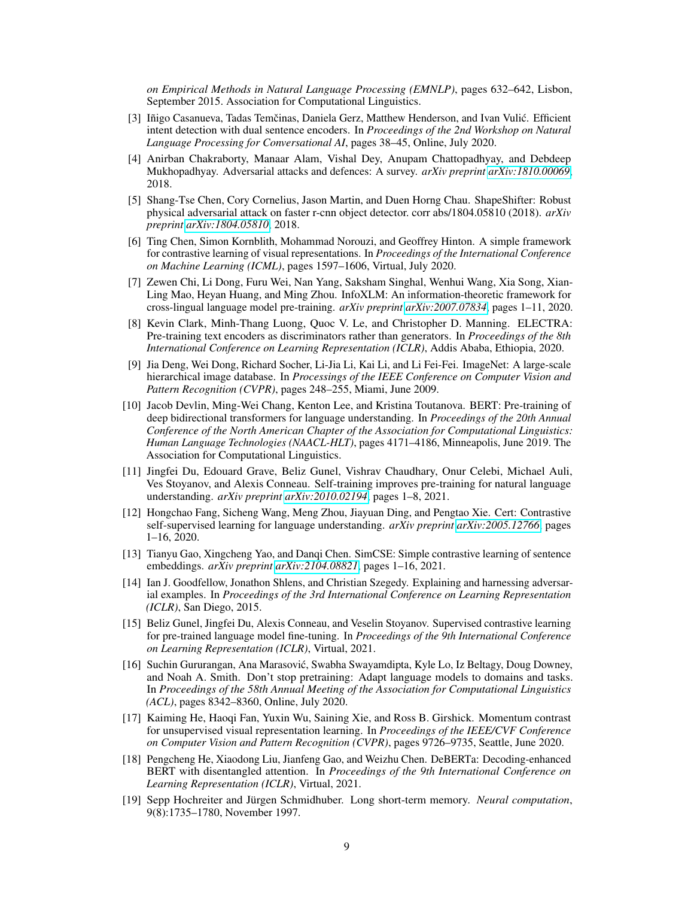*on Empirical Methods in Natural Language Processing (EMNLP)*, pages 632–642, Lisbon, September 2015. Association for Computational Linguistics.

- <span id="page-8-16"></span>[3] Iñigo Casanueva, Tadas Temčinas, Daniela Gerz, Matthew Henderson, and Ivan Vulić. Efficient intent detection with dual sentence encoders. In *Proceedings of the 2nd Workshop on Natural Language Processing for Conversational AI*, pages 38–45, Online, July 2020.
- <span id="page-8-4"></span>[4] Anirban Chakraborty, Manaar Alam, Vishal Dey, Anupam Chattopadhyay, and Debdeep Mukhopadhyay. Adversarial attacks and defences: A survey. *arXiv preprint [arXiv:1810.00069](http://arxiv.org/abs/1810.00069)*, 2018.
- <span id="page-8-3"></span>[5] Shang-Tse Chen, Cory Cornelius, Jason Martin, and Duen Horng Chau. ShapeShifter: Robust physical adversarial attack on faster r-cnn object detector. corr abs/1804.05810 (2018). *arXiv preprint [arXiv:1804.05810](http://arxiv.org/abs/1804.05810)*, 2018.
- <span id="page-8-6"></span>[6] Ting Chen, Simon Kornblith, Mohammad Norouzi, and Geoffrey Hinton. A simple framework for contrastive learning of visual representations. In *Proceedings of the International Conference on Machine Learning (ICML)*, pages 1597–1606, Virtual, July 2020.
- <span id="page-8-11"></span>[7] Zewen Chi, Li Dong, Furu Wei, Nan Yang, Saksham Singhal, Wenhui Wang, Xia Song, Xian-Ling Mao, Heyan Huang, and Ming Zhou. InfoXLM: An information-theoretic framework for cross-lingual language model pre-training. *arXiv preprint [arXiv:2007.07834](http://arxiv.org/abs/2007.07834)*, pages 1–11, 2020.
- <span id="page-8-14"></span>[8] Kevin Clark, Minh-Thang Luong, Quoc V. Le, and Christopher D. Manning. ELECTRA: Pre-training text encoders as discriminators rather than generators. In *Proceedings of the 8th International Conference on Learning Representation (ICLR)*, Addis Ababa, Ethiopia, 2020.
- <span id="page-8-7"></span>[9] Jia Deng, Wei Dong, Richard Socher, Li-Jia Li, Kai Li, and Li Fei-Fei. ImageNet: A large-scale hierarchical image database. In *Processings of the IEEE Conference on Computer Vision and Pattern Recognition (CVPR)*, pages 248–255, Miami, June 2009.
- <span id="page-8-2"></span>[10] Jacob Devlin, Ming-Wei Chang, Kenton Lee, and Kristina Toutanova. BERT: Pre-training of deep bidirectional transformers for language understanding. In *Proceedings of the 20th Annual Conference of the North American Chapter of the Association for Computational Linguistics: Human Language Technologies (NAACL-HLT)*, pages 4171–4186, Minneapolis, June 2019. The Association for Computational Linguistics.
- <span id="page-8-13"></span>[11] Jingfei Du, Edouard Grave, Beliz Gunel, Vishrav Chaudhary, Onur Celebi, Michael Auli, Ves Stoyanov, and Alexis Conneau. Self-training improves pre-training for natural language understanding. *arXiv preprint [arXiv:2010.02194](http://arxiv.org/abs/2010.02194)*, pages 1–8, 2021.
- <span id="page-8-8"></span>[12] Hongchao Fang, Sicheng Wang, Meng Zhou, Jiayuan Ding, and Pengtao Xie. Cert: Contrastive self-supervised learning for language understanding. *arXiv preprint [arXiv:2005.12766](http://arxiv.org/abs/2005.12766)*, pages 1–16, 2020.
- <span id="page-8-10"></span>[13] Tianyu Gao, Xingcheng Yao, and Danqi Chen. SimCSE: Simple contrastive learning of sentence embeddings. *arXiv preprint [arXiv:2104.08821](http://arxiv.org/abs/2104.08821)*, pages 1–16, 2021.
- <span id="page-8-0"></span>[14] Ian J. Goodfellow, Jonathon Shlens, and Christian Szegedy. Explaining and harnessing adversarial examples. In *Proceedings of the 3rd International Conference on Learning Representation (ICLR)*, San Diego, 2015.
- <span id="page-8-9"></span>[15] Beliz Gunel, Jingfei Du, Alexis Conneau, and Veselin Stoyanov. Supervised contrastive learning for pre-trained language model fine-tuning. In *Proceedings of the 9th International Conference on Learning Representation (ICLR)*, Virtual, 2021.
- <span id="page-8-12"></span>[16] Suchin Gururangan, Ana Marasovic, Swabha Swayamdipta, Kyle Lo, Iz Beltagy, Doug Downey, ´ and Noah A. Smith. Don't stop pretraining: Adapt language models to domains and tasks. In *Proceedings of the 58th Annual Meeting of the Association for Computational Linguistics (ACL)*, pages 8342–8360, Online, July 2020.
- <span id="page-8-5"></span>[17] Kaiming He, Haoqi Fan, Yuxin Wu, Saining Xie, and Ross B. Girshick. Momentum contrast for unsupervised visual representation learning. In *Proceedings of the IEEE/CVF Conference on Computer Vision and Pattern Recognition (CVPR)*, pages 9726–9735, Seattle, June 2020.
- <span id="page-8-15"></span>[18] Pengcheng He, Xiaodong Liu, Jianfeng Gao, and Weizhu Chen. DeBERTa: Decoding-enhanced BERT with disentangled attention. In *Proceedings of the 9th International Conference on Learning Representation (ICLR)*, Virtual, 2021.
- <span id="page-8-1"></span>[19] Sepp Hochreiter and Jürgen Schmidhuber. Long short-term memory. *Neural computation*, 9(8):1735–1780, November 1997.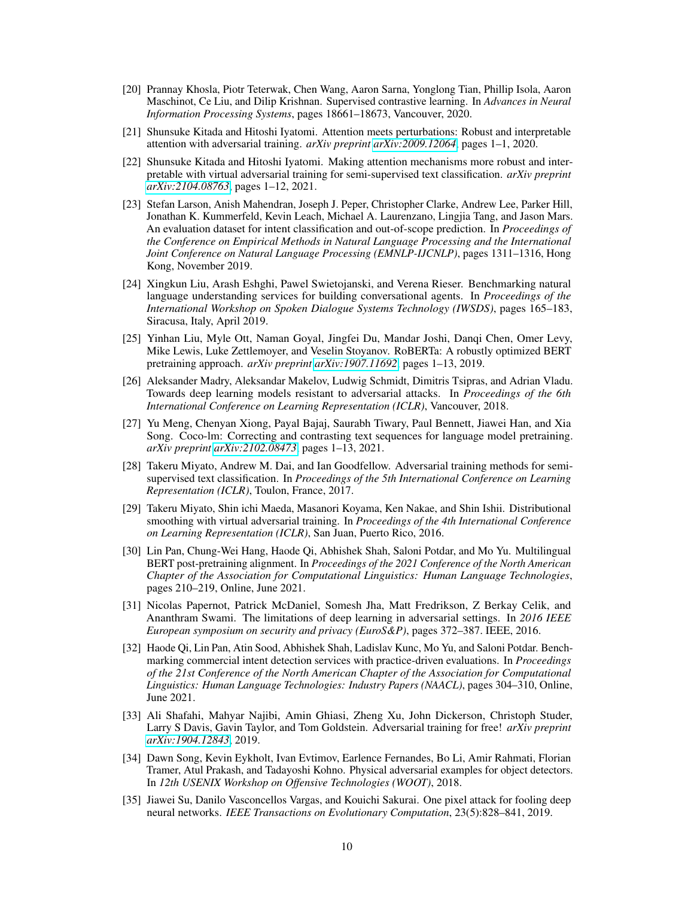- <span id="page-9-11"></span>[20] Prannay Khosla, Piotr Teterwak, Chen Wang, Aaron Sarna, Yonglong Tian, Phillip Isola, Aaron Maschinot, Ce Liu, and Dilip Krishnan. Supervised contrastive learning. In *Advances in Neural Information Processing Systems*, pages 18661–18673, Vancouver, 2020.
- <span id="page-9-6"></span>[21] Shunsuke Kitada and Hitoshi Iyatomi. Attention meets perturbations: Robust and interpretable attention with adversarial training. *arXiv preprint [arXiv:2009.12064](http://arxiv.org/abs/2009.12064)*, pages 1–1, 2020.
- <span id="page-9-7"></span>[22] Shunsuke Kitada and Hitoshi Iyatomi. Making attention mechanisms more robust and interpretable with virtual adversarial training for semi-supervised text classification. *arXiv preprint [arXiv:2104.08763](http://arxiv.org/abs/2104.08763)*, pages 1–12, 2021.
- <span id="page-9-13"></span>[23] Stefan Larson, Anish Mahendran, Joseph J. Peper, Christopher Clarke, Andrew Lee, Parker Hill, Jonathan K. Kummerfeld, Kevin Leach, Michael A. Laurenzano, Lingjia Tang, and Jason Mars. An evaluation dataset for intent classification and out-of-scope prediction. In *Proceedings of the Conference on Empirical Methods in Natural Language Processing and the International Joint Conference on Natural Language Processing (EMNLP-IJCNLP)*, pages 1311–1316, Hong Kong, November 2019.
- <span id="page-9-14"></span>[24] Xingkun Liu, Arash Eshghi, Pawel Swietojanski, and Verena Rieser. Benchmarking natural language understanding services for building conversational agents. In *Proceedings of the International Workshop on Spoken Dialogue Systems Technology (IWSDS)*, pages 165–183, Siracusa, Italy, April 2019.
- <span id="page-9-1"></span>[25] Yinhan Liu, Myle Ott, Naman Goyal, Jingfei Du, Mandar Joshi, Danqi Chen, Omer Levy, Mike Lewis, Luke Zettlemoyer, and Veselin Stoyanov. RoBERTa: A robustly optimized BERT pretraining approach. *arXiv preprint [arXiv:1907.11692](http://arxiv.org/abs/1907.11692)*, pages 1–13, 2019.
- <span id="page-9-8"></span>[26] Aleksander Madry, Aleksandar Makelov, Ludwig Schmidt, Dimitris Tsipras, and Adrian Vladu. Towards deep learning models resistant to adversarial attacks. In *Proceedings of the 6th International Conference on Learning Representation (ICLR)*, Vancouver, 2018.
- <span id="page-9-10"></span>[27] Yu Meng, Chenyan Xiong, Payal Bajaj, Saurabh Tiwary, Paul Bennett, Jiawei Han, and Xia Song. Coco-lm: Correcting and contrasting text sequences for language model pretraining. *arXiv preprint [arXiv:2102.08473](http://arxiv.org/abs/2102.08473)*, pages 1–13, 2021.
- <span id="page-9-0"></span>[28] Takeru Miyato, Andrew M. Dai, and Ian Goodfellow. Adversarial training methods for semisupervised text classification. In *Proceedings of the 5th International Conference on Learning Representation (ICLR)*, Toulon, France, 2017.
- <span id="page-9-5"></span>[29] Takeru Miyato, Shin ichi Maeda, Masanori Koyama, Ken Nakae, and Shin Ishii. Distributional smoothing with virtual adversarial training. In *Proceedings of the 4th International Conference on Learning Representation (ICLR)*, San Juan, Puerto Rico, 2016.
- <span id="page-9-12"></span>[30] Lin Pan, Chung-Wei Hang, Haode Qi, Abhishek Shah, Saloni Potdar, and Mo Yu. Multilingual BERT post-pretraining alignment. In *Proceedings of the 2021 Conference of the North American Chapter of the Association for Computational Linguistics: Human Language Technologies*, pages 210–219, Online, June 2021.
- <span id="page-9-3"></span>[31] Nicolas Papernot, Patrick McDaniel, Somesh Jha, Matt Fredrikson, Z Berkay Celik, and Ananthram Swami. The limitations of deep learning in adversarial settings. In *2016 IEEE European symposium on security and privacy (EuroS&P)*, pages 372–387. IEEE, 2016.
- <span id="page-9-15"></span>[32] Haode Qi, Lin Pan, Atin Sood, Abhishek Shah, Ladislav Kunc, Mo Yu, and Saloni Potdar. Benchmarking commercial intent detection services with practice-driven evaluations. In *Proceedings of the 21st Conference of the North American Chapter of the Association for Computational Linguistics: Human Language Technologies: Industry Papers (NAACL)*, pages 304–310, Online, June 2021.
- <span id="page-9-9"></span>[33] Ali Shafahi, Mahyar Najibi, Amin Ghiasi, Zheng Xu, John Dickerson, Christoph Studer, Larry S Davis, Gavin Taylor, and Tom Goldstein. Adversarial training for free! *arXiv preprint [arXiv:1904.12843](http://arxiv.org/abs/1904.12843)*, 2019.
- <span id="page-9-2"></span>[34] Dawn Song, Kevin Eykholt, Ivan Evtimov, Earlence Fernandes, Bo Li, Amir Rahmati, Florian Tramer, Atul Prakash, and Tadayoshi Kohno. Physical adversarial examples for object detectors. In *12th USENIX Workshop on Offensive Technologies (WOOT)*, 2018.
- <span id="page-9-4"></span>[35] Jiawei Su, Danilo Vasconcellos Vargas, and Kouichi Sakurai. One pixel attack for fooling deep neural networks. *IEEE Transactions on Evolutionary Computation*, 23(5):828–841, 2019.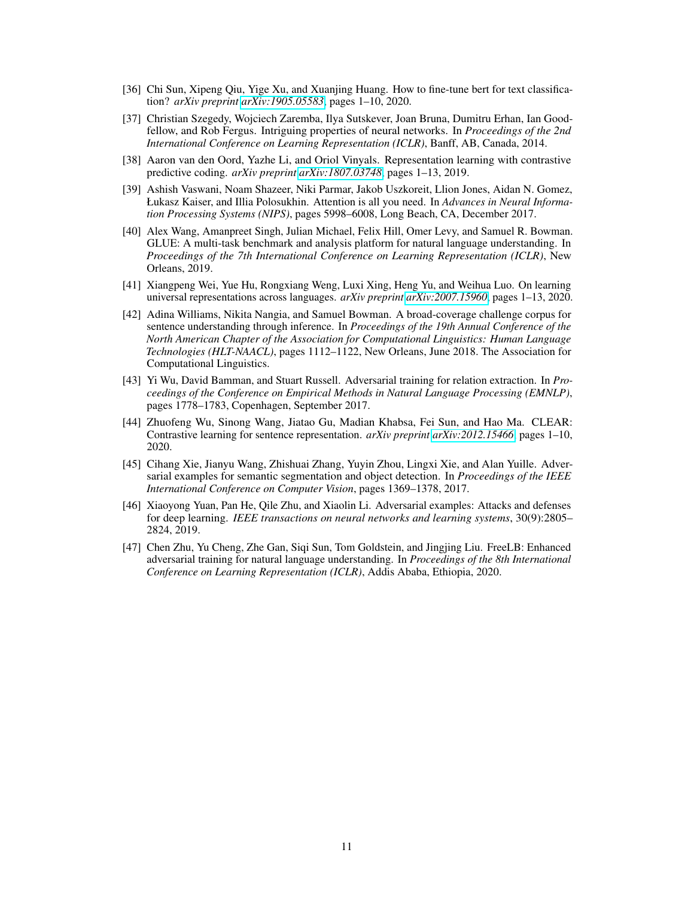- <span id="page-10-11"></span>[36] Chi Sun, Xipeng Qiu, Yige Xu, and Xuanjing Huang. How to fine-tune bert for text classification? *arXiv preprint [arXiv:1905.05583](http://arxiv.org/abs/1905.05583)*, pages 1–10, 2020.
- <span id="page-10-0"></span>[37] Christian Szegedy, Wojciech Zaremba, Ilya Sutskever, Joan Bruna, Dumitru Erhan, Ian Goodfellow, and Rob Fergus. Intriguing properties of neural networks. In *Proceedings of the 2nd International Conference on Learning Representation (ICLR)*, Banff, AB, Canada, 2014.
- <span id="page-10-2"></span>[38] Aaron van den Oord, Yazhe Li, and Oriol Vinyals. Representation learning with contrastive predictive coding. *arXiv preprint [arXiv:1807.03748](http://arxiv.org/abs/1807.03748)*, pages 1–13, 2019.
- <span id="page-10-1"></span>[39] Ashish Vaswani, Noam Shazeer, Niki Parmar, Jakob Uszkoreit, Llion Jones, Aidan N. Gomez, Łukasz Kaiser, and Illia Polosukhin. Attention is all you need. In *Advances in Neural Information Processing Systems (NIPS)*, pages 5998–6008, Long Beach, CA, December 2017.
- <span id="page-10-3"></span>[40] Alex Wang, Amanpreet Singh, Julian Michael, Felix Hill, Omer Levy, and Samuel R. Bowman. GLUE: A multi-task benchmark and analysis platform for natural language understanding. In *Proceedings of the 7th International Conference on Learning Representation (ICLR)*, New Orleans, 2019.
- <span id="page-10-10"></span>[41] Xiangpeng Wei, Yue Hu, Rongxiang Weng, Luxi Xing, Heng Yu, and Weihua Luo. On learning universal representations across languages. *arXiv preprint [arXiv:2007.15960](http://arxiv.org/abs/2007.15960)*, pages 1–13, 2020.
- <span id="page-10-9"></span>[42] Adina Williams, Nikita Nangia, and Samuel Bowman. A broad-coverage challenge corpus for sentence understanding through inference. In *Proceedings of the 19th Annual Conference of the North American Chapter of the Association for Computational Linguistics: Human Language Technologies (HLT-NAACL)*, pages 1112–1122, New Orleans, June 2018. The Association for Computational Linguistics.
- <span id="page-10-6"></span>[43] Yi Wu, David Bamman, and Stuart Russell. Adversarial training for relation extraction. In *Proceedings of the Conference on Empirical Methods in Natural Language Processing (EMNLP)*, pages 1778–1783, Copenhagen, September 2017.
- <span id="page-10-8"></span>[44] Zhuofeng Wu, Sinong Wang, Jiatao Gu, Madian Khabsa, Fei Sun, and Hao Ma. CLEAR: Contrastive learning for sentence representation. *arXiv preprint [arXiv:2012.15466](http://arxiv.org/abs/2012.15466)*, pages 1–10, 2020.
- <span id="page-10-4"></span>[45] Cihang Xie, Jianyu Wang, Zhishuai Zhang, Yuyin Zhou, Lingxi Xie, and Alan Yuille. Adversarial examples for semantic segmentation and object detection. In *Proceedings of the IEEE International Conference on Computer Vision*, pages 1369–1378, 2017.
- <span id="page-10-5"></span>[46] Xiaoyong Yuan, Pan He, Qile Zhu, and Xiaolin Li. Adversarial examples: Attacks and defenses for deep learning. *IEEE transactions on neural networks and learning systems*, 30(9):2805– 2824, 2019.
- <span id="page-10-7"></span>[47] Chen Zhu, Yu Cheng, Zhe Gan, Siqi Sun, Tom Goldstein, and Jingjing Liu. FreeLB: Enhanced adversarial training for natural language understanding. In *Proceedings of the 8th International Conference on Learning Representation (ICLR)*, Addis Ababa, Ethiopia, 2020.